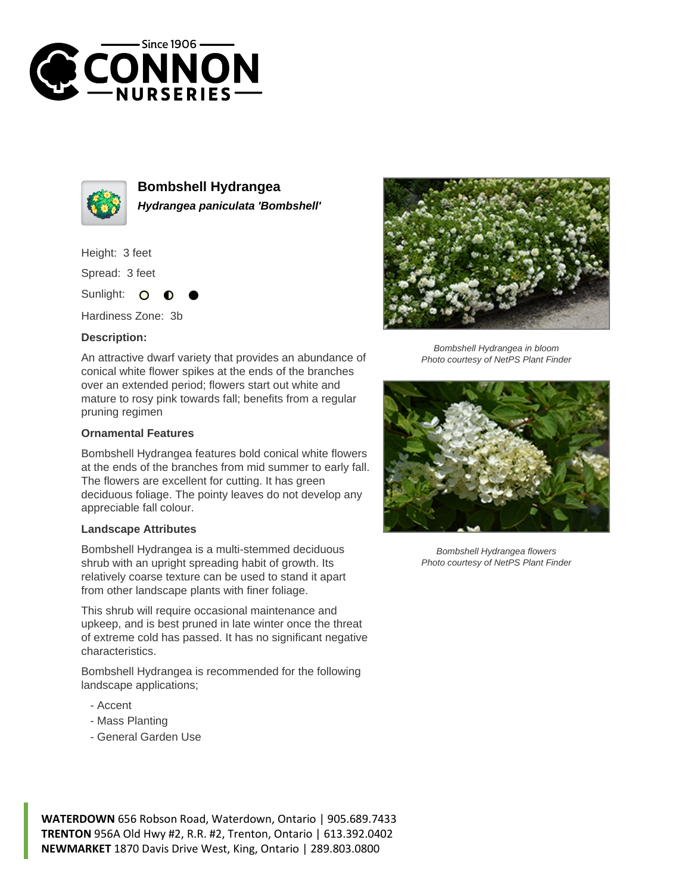



**Bombshell Hydrangea Hydrangea paniculata 'Bombshell'**

Height: 3 feet

Spread: 3 feet

Sunlight:  $\circ$ 

Hardiness Zone: 3b

## **Description:**

An attractive dwarf variety that provides an abundance of conical white flower spikes at the ends of the branches over an extended period; flowers start out white and mature to rosy pink towards fall; benefits from a regular pruning regimen

## **Ornamental Features**

Bombshell Hydrangea features bold conical white flowers at the ends of the branches from mid summer to early fall. The flowers are excellent for cutting. It has green deciduous foliage. The pointy leaves do not develop any appreciable fall colour.

## **Landscape Attributes**

Bombshell Hydrangea is a multi-stemmed deciduous shrub with an upright spreading habit of growth. Its relatively coarse texture can be used to stand it apart from other landscape plants with finer foliage.

This shrub will require occasional maintenance and upkeep, and is best pruned in late winter once the threat of extreme cold has passed. It has no significant negative characteristics.

Bombshell Hydrangea is recommended for the following landscape applications;

- Accent
- Mass Planting
- General Garden Use



Bombshell Hydrangea in bloom Photo courtesy of NetPS Plant Finder



Bombshell Hydrangea flowers Photo courtesy of NetPS Plant Finder

**WATERDOWN** 656 Robson Road, Waterdown, Ontario | 905.689.7433 **TRENTON** 956A Old Hwy #2, R.R. #2, Trenton, Ontario | 613.392.0402 **NEWMARKET** 1870 Davis Drive West, King, Ontario | 289.803.0800